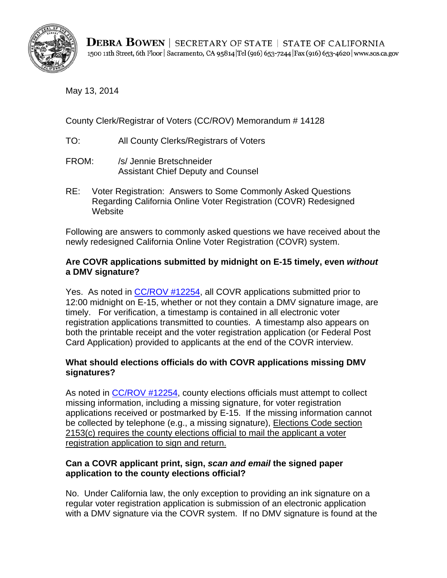

May 13, 2014

County Clerk/Registrar of Voters (CC/ROV) Memorandum # 14128

- TO: All County Clerks/Registrars of Voters
- FROM: /s/ Jennie Bretschneider Assistant Chief Deputy and Counsel
- RE: Voter Registration: Answers to Some Commonly Asked Questions Regarding California Online Voter Registration (COVR) Redesigned **Website**

Following are answers to commonly asked questions we have received about the newly redesigned California Online Voter Registration (COVR) system.

### **Are COVR applications submitted by midnight on E-15 timely, even** *without*  **a DMV signature?**

Yes. As noted in [CC/ROV #12254,](http://elections.cdn.sos.ca.gov/ccrov/pdf/2012/august/12254jb.pdf) all COVR applications submitted prior to 12:00 midnight on E-15, whether or not they contain a DMV signature image, are timely. For verification, a timestamp is contained in all electronic voter registration applications transmitted to counties. A timestamp also appears on both the printable receipt and the voter registration application (or Federal Post Card Application) provided to applicants at the end of the COVR interview.

# **What should elections officials do with COVR applications missing DMV signatures?**

 registration application to sign and return. As noted in [CC/ROV #12254,](http://elections.cdn.sos.ca.gov/ccrov/pdf/2012/august/12254jb.pdf) county elections officials must attempt to collect missing information, including a missing signature, for voter registration applications received or postmarked by E-15. If the missing information cannot be collected by telephone (e.g., a missing signature), Elections Code section 2153(c) requires the county elections official to mail the applicant a voter

# **Can a COVR applicant print, sign,** *scan and email* **the signed paper application to the county elections official?**

No. Under California law, the only exception to providing an ink signature on a regular voter registration application is submission of an electronic application with a DMV signature via the COVR system. If no DMV signature is found at the